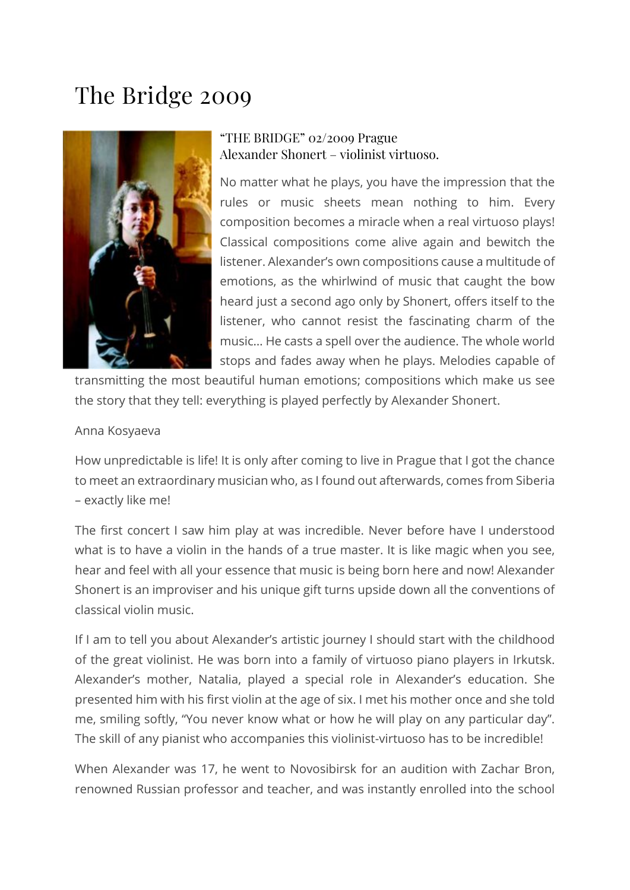## The Bridge 2009



## "THE BRIDGE" 02/2009 Prague Alexander Shonert – violinist virtuoso.

No matter what he plays, you have the impression that the rules or music sheets mean nothing to him. Every composition becomes a miracle when a real virtuoso plays! Classical compositions come alive again and bewitch the listener. Alexander's own compositions cause a multitude of emotions, as the whirlwind of music that caught the bow heard just a second ago only by Shonert, offers itself to the listener, who cannot resist the fascinating charm of the music… He casts a spell over the audience. The whole world stops and fades away when he plays. Melodies capable of

transmitting the most beautiful human emotions; compositions which make us see the story that they tell: everything is played perfectly by Alexander Shonert.

## Anna Kosyaeva

How unpredictable is life! It is only after coming to live in Prague that I got the chance to meet an extraordinary musician who, as I found out afterwards, comes from Siberia – exactly like me!

The first concert I saw him play at was incredible. Never before have I understood what is to have a violin in the hands of a true master. It is like magic when you see, hear and feel with all your essence that music is being born here and now! Alexander Shonert is an improviser and his unique gift turns upside down all the conventions of classical violin music.

If I am to tell you about Alexander's artistic journey I should start with the childhood of the great violinist. He was born into a family of virtuoso piano players in Irkutsk. Alexander's mother, Natalia, played a special role in Alexander's education. She presented him with his first violin at the age of six. I met his mother once and she told me, smiling softly, "You never know what or how he will play on any particular day". The skill of any pianist who accompanies this violinist-virtuoso has to be incredible!

When Alexander was 17, he went to Novosibirsk for an audition with Zachar Bron, renowned Russian professor and teacher, and was instantly enrolled into the school